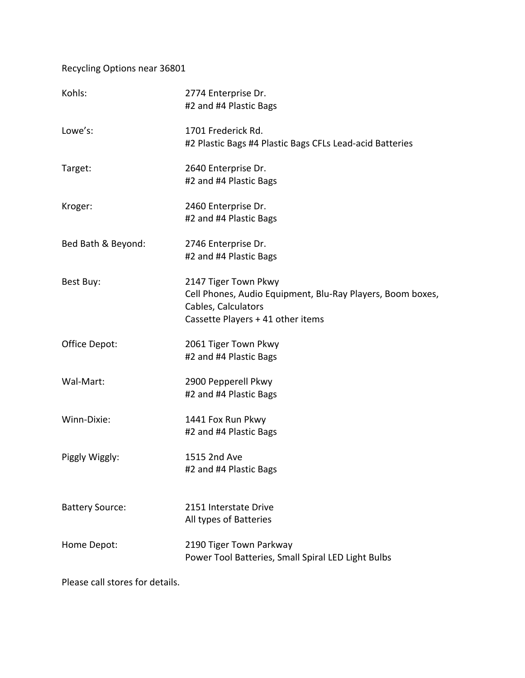Recycling Options near 36801

| Kohls:                 | 2774 Enterprise Dr.<br>#2 and #4 Plastic Bags                                                                                                  |
|------------------------|------------------------------------------------------------------------------------------------------------------------------------------------|
| Lowe's:                | 1701 Frederick Rd.<br>#2 Plastic Bags #4 Plastic Bags CFLs Lead-acid Batteries                                                                 |
| Target:                | 2640 Enterprise Dr.<br>#2 and #4 Plastic Bags                                                                                                  |
| Kroger:                | 2460 Enterprise Dr.<br>#2 and #4 Plastic Bags                                                                                                  |
| Bed Bath & Beyond:     | 2746 Enterprise Dr.<br>#2 and #4 Plastic Bags                                                                                                  |
| Best Buy:              | 2147 Tiger Town Pkwy<br>Cell Phones, Audio Equipment, Blu-Ray Players, Boom boxes,<br>Cables, Calculators<br>Cassette Players + 41 other items |
| Office Depot:          | 2061 Tiger Town Pkwy<br>#2 and #4 Plastic Bags                                                                                                 |
| Wal-Mart:              | 2900 Pepperell Pkwy<br>#2 and #4 Plastic Bags                                                                                                  |
| Winn-Dixie:            | 1441 Fox Run Pkwy<br>#2 and #4 Plastic Bags                                                                                                    |
| Piggly Wiggly:         | 1515 2nd Ave<br>#2 and #4 Plastic Bags                                                                                                         |
| <b>Battery Source:</b> | 2151 Interstate Drive<br>All types of Batteries                                                                                                |
| Home Depot:            | 2190 Tiger Town Parkway<br>Power Tool Batteries, Small Spiral LED Light Bulbs                                                                  |

Please call stores for details.